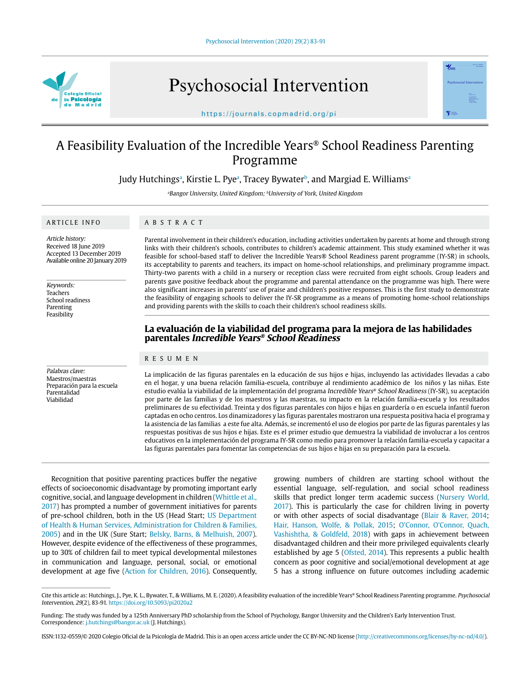

Psychosocial Intervention



https://journals.copmadrid.org/pi

# A Feasibility Evaluation of the Incredible Years® School Readiness Parenting Programme

Judy Hutchingsª, Kirstie L. Pyeª, Tracey Bywaterʰ, and Margiad E. Williamsª

<sup>a</sup>Bangor University, United Kingdom; <sup>b</sup>University of York, United Kingdom

## ARTICLE INFO

# ABSTRACT

Article history: Received 18 June 2019 Accepted 13 December 2019 Available online 20 January 2019

Keywords: Teachers School readiness Parenting Feasibility

Palabras clave: Maestros/maestras Preparación para la escuela Parentalidad Viabilidad

Parental involvement in their children's education, including activities undertaken by parents at home and through strong links with their children's schools, contributes to children's academic attainment. This study examined whether it was feasible for school-based staff to deliver the Incredible Years® School Readiness parent programme (IY-SR) in schools, its acceptability to parents and teachers, its impact on home-school relationships, and preliminary programme impact. Thirty-two parents with a child in a nursery or reception class were recruited from eight schools. Group leaders and parents gave positive feedback about the programme and parental attendance on the programme was high. There were also significant increases in parents' use of praise and children's positive responses. This is the first study to demonstrate the feasibility of engaging schools to deliver the IY-SR programme as a means of promoting home-school relationships and providing parents with the skills to coach their children's school readiness skills.

## **La evaluación de la viabilidad del programa para la mejora de las habilidades parentales Incredible Years® School Readiness**

## RESUMEN

La implicación de las figuras parentales en la educación de sus hijos e hijas, incluyendo las actividades llevadas a cabo en el hogar, y una buena relación familia-escuela, contribuye al rendimiento académico de los niños y las niñas. Este estudio evalúa la viabilidad de la implementación del programa Incredible Years® School Readiness (IY-SR), su aceptación por parte de las familias y de los maestros y las maestras, su impacto en la relación familia-escuela y los resultados preliminares de su efectividad. Treinta y dos figuras parentales con hijos e hijas en guardería o en escuela infantil fueron captadas en ocho centros. Los dinamizadores y las figuras parentales mostraron una respuesta positiva hacia el programa y la asistencia de las familias a este fue alta. Además, se incrementó el uso de elogios por parte de las figuras parentales y las respuestas positivas de sus hijos e hijas. Este es el primer estudio que demuestra la viabilidad de involucrar a los centros educativos en la implementación del programa IY-SR como medio para promover la relación familia-escuela y capacitar a las figuras parentales para fomentar las competencias de sus hijos e hijas en su preparación para la escuela.

Recognition that positive parenting practices buffer the negative effects of socioeconomic disadvantage by promoting important early cognitive, social, and language development in children (Whittle et al., 2017) has prompted a number of government initiatives for parents of pre-school children, both in the US (Head Start; US Department of Health & Human Services, Administration for Children & Families, 2005) and in the UK (Sure Start; Belsky, Barns, & Melhuish, 2007). However, despite evidence of the effectiveness of these programmes, up to 30% of children fail to meet typical developmental milestones in communication and language, personal, social, or emotional development at age five (Action for Children, 2016). Consequently,

growing numbers of children are starting school without the essential language, self-regulation, and social school readiness skills that predict longer term academic success (Nursery World, 2017). This is particularly the case for children living in poverty or with other aspects of social disadvantage (Blair & Raver, 2014; Hair, Hanson, Wolfe, & Pollak, 2015; O'Connor, O'Connor, Quach, Vashishtha, & Goldfeld, 2018) with gaps in achievement between disadvantaged children and their more privileged equivalents clearly established by age 5 (Ofsted, 2014). This represents a public health concern as poor cognitive and social/emotional development at age 5 has a strong influence on future outcomes including academic

ISSN:1132-0559/© 2020 Colegio Oficial de la Psicología de Madrid. This is an open access article under the CC BY-NC-ND license (http://creativecommons.org/licenses/by-nc-nd/4.0/).

Cite this article as: Hutchings, J., Pye, K. L., Bywater, T., & Williams, M. E. (2020). A feasibility evaluation of the incredible Years® School Readiness Parenting programme. Psychosocial Intervention, 29(2), 83-91. https://doi.org/10.5093/pi2020a2

Funding: The study was funded by a 125th Anniversary PhD scholarship from the School of Psychology, Bangor University and the Children's Early Intervention Trust. Correspondence: j.hutchings@bangor.ac.uk (J. Hutchings).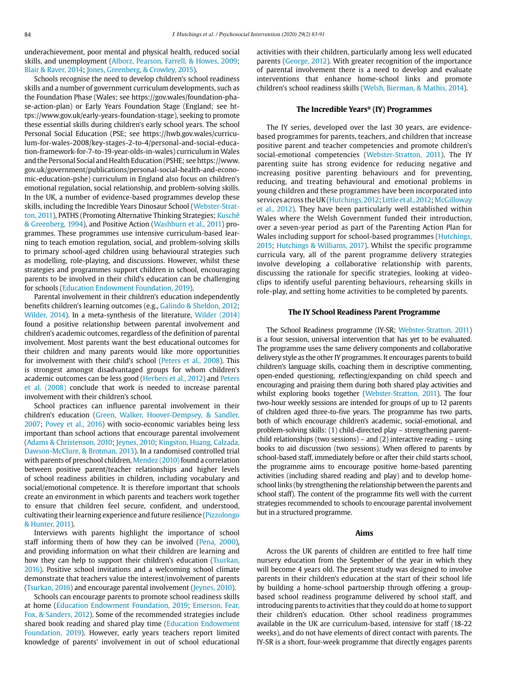underachievement, poor mental and physical health, reduced social skills, and unemployment (Alborz, Pearson, Farrell, & Howes, 2009; Blair & Raver, 2014; Jones, Greenberg, & Crowley, 2015).

Schools recognise the need to develop children's school readiness skills and a number of government curriculum developments, such as the Foundation Phase (Wales; see [https://gov.wales/foundation-pha](https://gov.wales/foundation-phase-action-plan)[se-action-plan](https://gov.wales/foundation-phase-action-plan)) or Early Years Foundation Stage (England; see [ht](https://www.gov.uk/early-years-foundation-stage))[tps://www.gov.uk/early-years-foundation-stage\),](https://www.gov.uk/early-years-foundation-stage)) seeking to promote these essential skills during children's early school years. The school Personal Social Education (PSE; see [https://hwb.gov.wales/curricu](https://hwb.gov.wales/curriculum-for-wales-2008/key-stages-2-to-4/personal-and-social-education-framework-for-7-to-19-year-olds-in-wales)[lum-for-wales-2008/key-stages-2-to-4/personal-and-social-educa](https://hwb.gov.wales/curriculum-for-wales-2008/key-stages-2-to-4/personal-and-social-education-framework-for-7-to-19-year-olds-in-wales)[tion-framework-for-7-to-19-year-olds-in-wales](https://hwb.gov.wales/curriculum-for-wales-2008/key-stages-2-to-4/personal-and-social-education-framework-for-7-to-19-year-olds-in-wales)) curriculum in Wales and the Personal Social and Health Education (PSHE; see [https://www.](https://www.gov.uk/government/publications/personal-social-health-and-economic-education-pshe) [gov.uk/government/publications/personal-social-health-and-econo](https://www.gov.uk/government/publications/personal-social-health-and-economic-education-pshe)[mic-education-pshe\)](https://www.gov.uk/government/publications/personal-social-health-and-economic-education-pshe) curriculum in England also focus on children's emotional regulation, social relationship, and problem-solving skills. In the UK, a number of evidence-based programmes develop these skills, including the Incredible Years Dinosaur School (Webster-Stratton, 2011), PATHS (Promoting Alternative Thinking Strategies; Kusché & Greenberg, 1994), and Positive Action (Washburn et al., 2011) programmes. These programmes use intensive curriculum-based learning to teach emotion regulation, social, and problem-solving skills to primary school-aged children using behavioural strategies such as modelling, role-playing, and discussions. However, whilst these strategies and programmes support children in school, encouraging parents to be involved in their child's education can be challenging for schools (Education Endowment Foundation, 2019).

Parental involvement in their children's education independently benefits children's learning outcomes (e.g., Galindo & Sheldon, 2012; Wilder, 2014). In a meta-synthesis of the literature, Wilder (2014) found a positive relationship between parental involvement and children's academic outcomes, regardless of the definition of parental involvement. Most parents want the best educational outcomes for their children and many parents would like more opportunities for involvement with their child's school (Peters et al., 2008). This is strongest amongst disadvantaged groups for whom children's academic outcomes can be less good (Herbers et al., 2012) and Peters et al. (2008) conclude that work is needed to increase parental involvement with their children's school.

School practices can influence parental involvement in their children's education (Green, Walker, Hoover-Dempsey, & Sandler, 2007; Povey et al., 2016) with socio-economic variables being less important than school actions that encourage parental involvement (Adams & Christenson, 2010; Jeynes, 2010; Kingston, Huang, Calzada, Dawson-McClure, & Brotman, 2013). In a randomised controlled trial with parents of preschool children, Mendez (2010) found a correlation between positive parent/teacher relationships and higher levels of school readiness abilities in children, including vocabulary and social/emotional competence. It is therefore important that schools create an environment in which parents and teachers work together to ensure that children feel secure, confident, and understood, cultivating their learning experience and future resilience (Pizzolongo & Hunter, 2011).

Interviews with parents highlight the importance of school staff informing them of how they can be involved (Pena, 2000), and providing information on what their children are learning and how they can help to support their children's education (Tsurkan, 2016). Positive school invitations and a welcoming school climate demonstrate that teachers value the interest/involvement of parents (Tsurkan, 2016) and encourage parental involvement (Jeynes, 2010).

Schools can encourage parents to promote school readiness skills at home (Education Endowment Foundation, 2019; Emerson, Fear, Fox, & Sanders, 2012). Some of the recommended strategies include shared book reading and shared play time (Education Endowment Foundation, 2019). However, early years teachers report limited knowledge of parents' involvement in out of school educational activities with their children, particularly among less well educated parents (George, 2012). With greater recognition of the importance of parental involvement there is a need to develop and evaluate interventions that enhance home-school links and promote children's school readiness skills (Welsh, Bierman, & Mathis, 2014).

#### **The Incredible Years® (IY) Programmes**

The IY series, developed over the last 30 years, are evidencebased programmes for parents, teachers, and children that increase positive parent and teacher competencies and promote children's social-emotional competencies (Webster-Stratton, 2011). The IY parenting suite has strong evidence for reducing negative and increasing positive parenting behaviours and for preventing, reducing, and treating behavioural and emotional problems in young children and these programmes have been incorporated into services across the UK (Hutchings, 2012; Little et al., 2012; McGilloway et al., 2012). They have been particularly well established within Wales where the Welsh Government funded their introduction, over a seven-year period as part of the Parenting Action Plan for Wales including support for school-based programmes (Hutchings, 2015; Hutchings & Williams, 2017). Whilst the specific programme curricula vary, all of the parent programme delivery strategies involve developing a collaborative relationship with parents, discussing the rationale for specific strategies, looking at videoclips to identify useful parenting behaviours, rehearsing skills in role-play, and setting home activities to be completed by parents.

#### **The IY School Readiness Parent Programme**

The School Readiness programme (IY-SR; Webster-Stratton, 2011) is a four session, universal intervention that has yet to be evaluated. The programme uses the same delivery components and collaborative delivery style as the other IY programmes. It encourages parents to build children's language skills, coaching them in descriptive commenting, open-ended questioning, reflecting/expanding on child speech and encouraging and praising them during both shared play activities and whilst exploring books together (Webster-Stratton, 2011). The four two-hour weekly sessions are intended for groups of up to 12 parents of children aged three-to-five years. The programme has two parts, both of which encourage children's academic, social-emotional, and problem-solving skills: (1) child-directed play – strengthening parentchild relationships (two sessions) – and (2) interactive reading – using books to aid discussion (two sessions). When offered to parents by school-based staff, immediately before or after their child starts school, the programme aims to encourage positive home-based parenting activities (including shared reading and play) and to develop homeschool links (by strengthening the relationship between the parents and school staff). The content of the programme fits well with the current strategies recommended to schools to encourage parental involvement but in a structured programme.

#### **Aims**

Across the UK parents of children are entitled to free half time nursery education from the September of the year in which they will become 4 years old. The present study was designed to involve parents in their children's education at the start of their school life by building a home-school partnership through offering a groupbased school readiness programme delivered by school staff, and introducing parents to activities that they could do at home to support their children's education. Other school readiness programmes available in the UK are curriculum-based, intensive for staff (18-22 weeks), and do not have elements of direct contact with parents. The IY-SR is a short, four-week programme that directly engages parents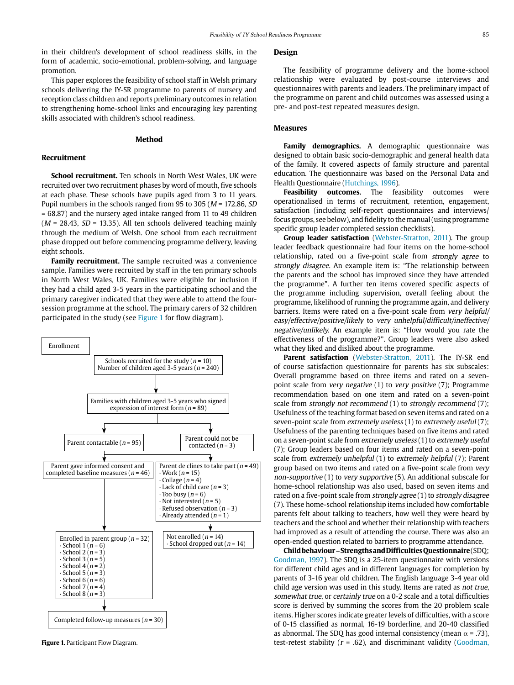in their children's development of school readiness skills, in the form of academic, socio-emotional, problem-solving, and language promotion.

This paper explores the feasibility of school staff in Welsh primary schools delivering the IY-SR programme to parents of nursery and reception class children and reports preliminary outcomes in relation to strengthening home-school links and encouraging key parenting skills associated with children's school readiness.

#### **Method**

## **Recruitment**

**School recruitment.** Ten schools in North West Wales, UK were recruited over two recruitment phases by word of mouth, five schools at each phase. These schools have pupils aged from 3 to 11 years. Pupil numbers in the schools ranged from 95 to 305 ( $M = 172.86$ , SD = 68.87) and the nursery aged intake ranged from 11 to 49 children  $(M = 28.43, SD = 13.35)$ . All ten schools delivered teaching mainly through the medium of Welsh. One school from each recruitment phase dropped out before commencing programme delivery, leaving eight schools.

**Family recruitment.** The sample recruited was a convenience sample. Families were recruited by staff in the ten primary schools in North West Wales, UK. Families were eligible for inclusion if they had a child aged 3-5 years in the participating school and the primary caregiver indicated that they were able to attend the foursession programme at the school. The primary carers of 32 children participated in the study (see Figure 1 for flow diagram).



**Figure 1.** Participant Flow Diagram.

## **Design**

The feasibility of programme delivery and the home-school relationship were evaluated by post-course interviews and questionnaires with parents and leaders. The preliminary impact of the programme on parent and child outcomes was assessed using a pre- and post-test repeated measures design.

#### **Measures**

**Family demographics.** A demographic questionnaire was designed to obtain basic socio-demographic and general health data of the family. It covered aspects of family structure and parental education. The questionnaire was based on the Personal Data and Health Questionnaire (Hutchings, 1996).

**Feasibility outcomes.** The feasibility outcomes were operationalised in terms of recruitment, retention, engagement, satisfaction (including self-report questionnaires and interviews/ focus groups, see below), and fidelity to the manual (using programme specific group leader completed session checklists).

**Group leader satisfaction** (Webster-Stratton, 2011). The group leader feedback questionnaire had four items on the home-school relationship, rated on a five-point scale from strongly agree to strongly disagree. An example item is: "The relationship between the parents and the school has improved since they have attended the programme". A further ten items covered specific aspects of the programme including supervision, overall feeling about the programme, likelihood of running the programme again, and delivery barriers. Items were rated on a five-point scale from very helpful/ easy/effective/positive/likely to very unhelpful/difficult/ineffective/ negative/unlikely. An example item is: "How would you rate the effectiveness of the programme?". Group leaders were also asked what they liked and disliked about the programme.

**Parent satisfaction** (Webster-Stratton, 2011). The IY-SR end of course satisfaction questionnaire for parents has six subscales: Overall programme based on three items and rated on a sevenpoint scale from very negative (1) to very positive (7); Programme recommendation based on one item and rated on a seven-point scale from strongly not recommend (1) to strongly recommend (7); Usefulness of the teaching format based on seven items and rated on a seven-point scale from extremely useless (1) to extremely useful (7); Usefulness of the parenting techniques based on five items and rated on a seven-point scale from extremely useless (1) to extremely useful (7); Group leaders based on four items and rated on a seven-point scale from extremely unhelpful (1) to extremely helpful (7); Parent group based on two items and rated on a five-point scale from very non-supportive (1) to very supportive (5). An additional subscale for home-school relationship was also used, based on seven items and rated on a five-point scale from strongly agree (1) to strongly disagree (7). These home-school relationship items included how comfortable parents felt about talking to teachers, how well they were heard by teachers and the school and whether their relationship with teachers had improved as a result of attending the course. There was also an open-ended question related to barriers to programme attendance.

**Child behaviour – Strengths and Difficulties Questionnaire** (SDQ; Goodman, 1997). The SDQ is a 25-item questionnaire with versions for different child ages and in different languages for completion by parents of 3-16 year old children. The English language 3-4 year old child age version was used in this study. Items are rated as not true, somewhat true, or certainly true on a 0-2 scale and a total difficulties score is derived by summing the scores from the 20 problem scale items. Higher scores indicate greater levels of difficulties, with a score of 0-15 classified as normal, 16-19 borderline, and 20-40 classified as abnormal. The SDQ has good internal consistency (mean  $\alpha$  = .73), test-retest stability ( $r = .62$ ), and discriminant validity (Goodman,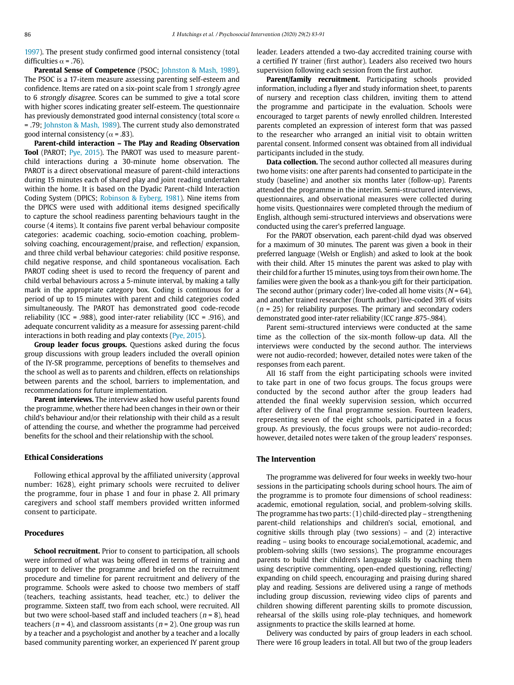1997). The present study confirmed good internal consistency (total difficulties  $\alpha$  = .76).

**Parental Sense of Competence** (PSOC; Johnston & Mash, 1989). The PSOC is a 17-item measure assessing parenting self-esteem and confidence. Items are rated on a six-point scale from 1 strongly agree to 6 strongly disagree. Scores can be summed to give a total score with higher scores indicating greater self-esteem. The questionnaire has previously demonstrated good internal consistency (total score  $\alpha$ = .79; Johnston & Mash, 1989). The current study also demonstrated good internal consistency ( $\alpha$  = .83).

**Parent-child interaction – The Play and Reading Observation Tool** (PAROT; Pye, 2015). The PAROT was used to measure parentchild interactions during a 30-minute home observation. The PAROT is a direct observational measure of parent-child interactions during 15 minutes each of shared play and joint reading undertaken within the home. It is based on the Dyadic Parent-child Interaction Coding System (DPICS; Robinson & Eyberg, 1981). Nine items from the DPICS were used with additional items designed specifically to capture the school readiness parenting behaviours taught in the course (4 items). It contains five parent verbal behaviour composite categories: academic coaching, socio-emotion coaching, problemsolving coaching, encouragement/praise, and reflection/ expansion, and three child verbal behaviour categories: child positive response, child negative response, and child spontaneous vocalisation. Each PAROT coding sheet is used to record the frequency of parent and child verbal behaviours across a 5-minute interval, by making a tally mark in the appropriate category box. Coding is continuous for a period of up to 15 minutes with parent and child categories coded simultaneously. The PAROT has demonstrated good code-recode reliability (ICC = .988), good inter-rater reliability (ICC = .916), and adequate concurrent validity as a measure for assessing parent-child interactions in both reading and play contexts (Pye, 2015).

**Group leader focus groups.** Questions asked during the focus group discussions with group leaders included the overall opinion of the IY-SR programme, perceptions of benefits to themselves and the school as well as to parents and children, effects on relationships between parents and the school, barriers to implementation, and recommendations for future implementation.

**Parent interviews.** The interview asked how useful parents found the programme, whether there had been changes in their own or their child's behaviour and/or their relationship with their child as a result of attending the course, and whether the programme had perceived benefits for the school and their relationship with the school.

## **Ethical Considerations**

Following ethical approval by the affiliated university (approval number: 1628), eight primary schools were recruited to deliver the programme, four in phase 1 and four in phase 2. All primary caregivers and school staff members provided written informed consent to participate.

## **Procedures**

**School recruitment.** Prior to consent to participation, all schools were informed of what was being offered in terms of training and support to deliver the programme and briefed on the recruitment procedure and timeline for parent recruitment and delivery of the programme. Schools were asked to choose two members of staff (teachers, teaching assistants, head teacher, etc.) to deliver the programme. Sixteen staff, two from each school, were recruited. All but two were school-based staff and included teachers ( $n = 8$ ), head teachers ( $n = 4$ ), and classroom assistants ( $n = 2$ ). One group was run by a teacher and a psychologist and another by a teacher and a locally based community parenting worker, an experienced IY parent group leader. Leaders attended a two-day accredited training course with a certified IY trainer (first author). Leaders also received two hours supervision following each session from the first author.

**Parent/family recruitment.** Participating schools provided information, including a flyer and study information sheet, to parents of nursery and reception class children, inviting them to attend the programme and participate in the evaluation. Schools were encouraged to target parents of newly enrolled children. Interested parents completed an expression of interest form that was passed to the researcher who arranged an initial visit to obtain written parental consent. Informed consent was obtained from all individual participants included in the study.

**Data collection.** The second author collected all measures during two home visits: one after parents had consented to participate in the study (baseline) and another six months later (follow-up). Parents attended the programme in the interim. Semi-structured interviews, questionnaires, and observational measures were collected during home visits. Questionnaires were completed through the medium of English, although semi-structured interviews and observations were conducted using the carer's preferred language.

For the PAROT observation, each parent-child dyad was observed for a maximum of 30 minutes. The parent was given a book in their preferred language (Welsh or English) and asked to look at the book with their child. After 15 minutes the parent was asked to play with their child for a further 15 minutes, using toys from their own home. The families were given the book as a thank-you gift for their participation. The second author (primary coder) live-coded all home visits ( $N = 64$ ), and another trained researcher (fourth author) live-coded 39% of visits  $(n = 25)$  for reliability purposes. The primary and secondary coders demonstrated good inter-rater reliability (ICC range .875-.984).

Parent semi-structured interviews were conducted at the same time as the collection of the six-month follow-up data. All the interviews were conducted by the second author. The interviews were not audio-recorded; however, detailed notes were taken of the responses from each parent.

All 16 staff from the eight participating schools were invited to take part in one of two focus groups. The focus groups were conducted by the second author after the group leaders had attended the final weekly supervision session, which occurred after delivery of the final programme session. Fourteen leaders, representing seven of the eight schools, participated in a focus group. As previously, the focus groups were not audio-recorded; however, detailed notes were taken of the group leaders' responses.

## **The Intervention**

The programme was delivered for four weeks in weekly two-hour sessions in the participating schools during school hours. The aim of the programme is to promote four dimensions of school readiness: academic, emotional regulation, social, and problem-solving skills. The programme has two parts: (1) child-directed play – strengthening parent-child relationships and children's social, emotional, and cognitive skills through play (two sessions) – and (2) interactive reading – using books to encourage social,emotional, academic, and problem-solving skills (two sessions). The programme encourages parents to build their children's language skills by coaching them using descriptive commenting, open-ended questioning, reflecting/ expanding on child speech, encouraging and praising during shared play and reading. Sessions are delivered using a range of methods including group discussion, reviewing video clips of parents and children showing different parenting skills to promote discussion, rehearsal of the skills using role-play techniques, and homework assignments to practice the skills learned at home.

Delivery was conducted by pairs of group leaders in each school. There were 16 group leaders in total. All but two of the group leaders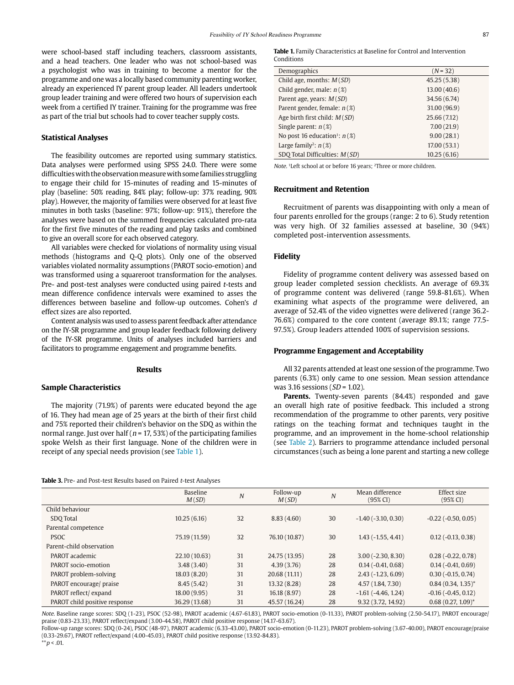were school-based staff including teachers, classroom assistants, and a head teachers. One leader who was not school-based was a psychologist who was in training to become a mentor for the programme and one was a locally based community parenting worker, already an experienced IY parent group leader. All leaders undertook group leader training and were offered two hours of supervision each week from a certified IY trainer. Training for the programme was free as part of the trial but schools had to cover teacher supply costs.

## **Statistical Analyses**

The feasibility outcomes are reported using summary statistics. Data analyses were performed using SPSS 24.0. There were some difficulties with the observation measure with some families struggling to engage their child for 15-minutes of reading and 15-minutes of play (baseline: 50% reading, 84% play; follow-up: 37% reading, 90% play). However, the majority of families were observed for at least five minutes in both tasks (baseline: 97%; follow-up: 91%), therefore the analyses were based on the summed frequencies calculated pro-rata for the first five minutes of the reading and play tasks and combined to give an overall score for each observed category.

All variables were checked for violations of normality using visual methods (histograms and Q-Q plots). Only one of the observed variables violated normality assumptions (PAROT socio-emotion) and was transformed using a squareroot transformation for the analyses. Pre- and post-test analyses were conducted using paired t-tests and mean difference confidence intervals were examined to asses the differences between baseline and follow-up outcomes. Cohen's d effect sizes are also reported.

Content analysis was used to assess parent feedback after attendance on the IY-SR programme and group leader feedback following delivery of the IY-SR programme. Units of analyses included barriers and facilitators to programme engagement and programme benefits.

#### **Results**

#### **Sample Characteristics**

The majority (71.9%) of parents were educated beyond the age of 16. They had mean age of 25 years at the birth of their first child and 75% reported their children's behavior on the SDQ as within the normal range. Just over half ( $n = 17, 53\%$ ) of the participating families spoke Welsh as their first language. None of the children were in receipt of any special needs provision (see Table 1).

Table 3. Pre- and Post-test Results based on Paired t-test Analyses

**Table 1.** Family Characteristics at Baseline for Control and Intervention Conditions

| Demographics                                | $(N = 32)$   |
|---------------------------------------------|--------------|
| Child age, months: $M(SD)$                  | 45.25 (5.38) |
| Child gender, male: $n(\mathcal{X})$        | 13.00(40.6)  |
| Parent age, years: $M(SD)$                  | 34.56 (6.74) |
| Parent gender, female: $n(\mathcal{X})$     | 31.00 (96.9) |
| Age birth first child: $M(SD)$              | 25.66 (7.12) |
| Single parent: $n(\mathcal{X})$             | 7.00(21.9)   |
| No post 16 education <sup>1</sup> : $n$ (%) | 9.00(28.1)   |
| Large family <sup>2</sup> : $n$ (%)         | 17.00(53.1)  |
| SDO Total Difficulties: M(SD)               | 10.25(6.16)  |

Note. 1Left school at or before 16 years; 2Three or more children.

#### **Recruitment and Retention**

Recruitment of parents was disappointing with only a mean of four parents enrolled for the groups (range: 2 to 6). Study retention was very high. Of 32 families assessed at baseline, 30 (94%) completed post-intervention assessments.

#### **Fidelity**

Fidelity of programme content delivery was assessed based on group leader completed session checklists. An average of 69.3% of programme content was delivered (range 59.8-81.6%). When examining what aspects of the programme were delivered, an average of 52.4% of the video vignettes were delivered (range 36.2- 76.6%) compared to the core content (average 89.1%; range 77.5- 97.5%). Group leaders attended 100% of supervision sessions.

#### **Programme Engagement and Acceptability**

All 32 parents attended at least one session of the programme. Two parents (6.3%) only came to one session. Mean session attendance was 3.16 sessions ( $SD = 1.02$ ).

Parents. Twenty-seven parents (84.4%) responded and gave an overall high rate of positive feedback. This included a strong recommendation of the programme to other parents, very positive ratings on the teaching format and techniques taught in the programme, and an improvement in the home-school relationship (see Table 2). Barriers to programme attendance included personal circumstances (such as being a lone parent and starting a new college

|                               | <b>Baseline</b><br>M(SD) | $\boldsymbol{N}$ | Follow-up<br>M(SD) | $\overline{N}$ | Mean difference<br>(95% CI) | Effect size<br>$(95\% \text{ CI})$ |
|-------------------------------|--------------------------|------------------|--------------------|----------------|-----------------------------|------------------------------------|
| Child behaviour               |                          |                  |                    |                |                             |                                    |
| SDO Total                     | 10.25(6.16)              | 32               | 8.83(4.60)         | 30             | $-1.40$ ( $-3.10$ , 0.30)   | $-0.22$ ( $-0.50$ , $0.05$ )       |
| Parental competence           |                          |                  |                    |                |                             |                                    |
| <b>PSOC</b>                   | 75.19 (11.59)            | 32               | 76.10 (10.87)      | 30             | $1.43(-1.55, 4.41)$         | $0.12$ ( $-0.13$ , $0.38$ )        |
| Parent-child observation      |                          |                  |                    |                |                             |                                    |
| PAROT academic                | 22.10 (10.63)            | 31               | 24.75 (13.95)      | 28             | $3.00(-2.30, 8.30)$         | $0.28(-0.22, 0.78)$                |
| PAROT socio-emotion           | 3.48(3.40)               | 31               | 4.39(3.76)         | 28             | $0.14(-0.41, 0.68)$         | $0.14 (-0.41, 0.69)$               |
| PAROT problem-solving         | 18.03(8.20)              | 31               | 20.68 (11.11)      | 28             | $2.43(-1.23, 6.09)$         | $0.30(-0.15, 0.74)$                |
| PAROT encourage/ praise       | 8.45(5.42)               | 31               | 13.32 (8.28)       | 28             | 4.57 (1.84, 7.30)           | $0.84(0.34, 1.35)^*$               |
| PAROT reflect/expand          | 18.00(9.95)              | 31               | 16.18 (8.97)       | 28             | $-1.61$ ( $-4.46$ , 1.24)   | $-0.16(-0.45, 0.12)$               |
| PAROT child positive response | 36.29 (13.68)            | 31               | 45.57 (16.24)      | 28             | 9.32 (3.72, 14.92)          | $0.68(0.27, 1.09)^*$               |

Note. Baseline range scores: SDQ (1-23), PSOC (52-98), PAROT academic (4.67-61.83), PAROT socio-emotion (0-11.33), PAROT problem-solving (2.50-54.17), PAROT encourage/ praise (0.83-23.33), PAROT reflect/expand (3.00-44.58), PAROT child positive response (14.17-63.67).

Follow-up range scores: SDQ (0-24), PSOC (48-97), PAROT academic (6.33-43.00), PAROT socio-emotion (0-11.23), PAROT problem-solving (3.67-40.00), PAROT encourage/praise (0.33-29.67), PAROT reflect/expand (4.00-45.03), PAROT child positive response (13.92-84.83).  $*^{*}p$  < .01.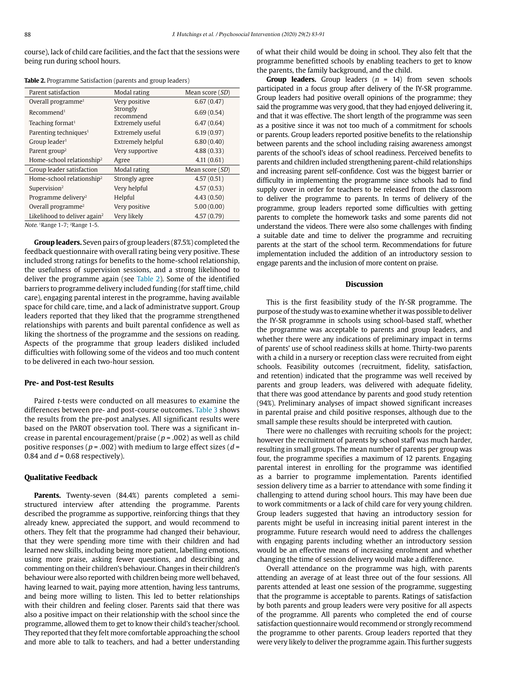course), lack of child care facilities, and the fact that the sessions were being run during school hours.

| Parent satisfaction                      | Modal rating          | Mean score $(SD)$ |
|------------------------------------------|-----------------------|-------------------|
| Overall programme <sup>1</sup>           | Very positive         | 6.67(0.47)        |
| Recommend <sup>1</sup>                   | Strongly<br>recommend | 6.69(0.54)        |
| Teaching format <sup>1</sup>             | Extremely useful      | 6.47(0.64)        |
| Parenting techniques <sup>1</sup>        | Extremely useful      | 6.19(0.97)        |
| Group leader <sup>1</sup>                | Extremely helpful     | 6.80(0.40)        |
| Parent group <sup>2</sup>                | Very supportive       | 4.88(0.33)        |
| Home-school relationship <sup>2</sup>    | Agree                 | 4.11(0.61)        |
| Group leader satisfaction                | Modal rating          | Mean score (SD)   |
| Home-school relationship <sup>2</sup>    | Strongly agree        | 4.57(0.51)        |
| Supervision <sup>2</sup>                 | Very helpful          | 4.57(0.53)        |
| Programme delivery <sup>2</sup>          | Helpful               | 4.43(0.50)        |
| Overall programme <sup>2</sup>           | Very positive         | 5.00(0.00)        |
| Likelihood to deliver again <sup>2</sup> | Very likely           | 4.57(0.79)        |

**Table 2.** Programme Satisfaction (parents and group leaders)

Note. 1Range 1-7; 2Range 1-5.

**Group leaders.** Seven pairs of group leaders (87.5%) completed the feedback questionnaire with overall rating being very positive. These included strong ratings for benefits to the home-school relationship, the usefulness of supervision sessions, and a strong likelihood to deliver the programme again (see Table 2). Some of the identified barriers to programme delivery included funding (for staff time, child care), engaging parental interest in the programme, having available space for child care, time, and a lack of administratve support. Group leaders reported that they liked that the programme strengthened relationships with parents and built parental confidence as well as liking the shortness of the programme and the sessions on reading. Aspects of the programme that group leaders disliked included difficulties with following some of the videos and too much content to be delivered in each two-hour session.

## **Pre- and Post-test Results**

Paired t-tests were conducted on all measures to examine the differences between pre- and post-course outcomes. Table 3 shows the results from the pre-post analyses. All significant results were based on the PAROT observation tool. There was a significant increase in parental encouragement/praise ( $p = .002$ ) as well as child positive responses ( $p = .002$ ) with medium to large effect sizes ( $d =$ 0.84 and  $d = 0.68$  respectively).

#### **Qualitative Feedback**

Parents. Twenty-seven (84.4%) parents completed a semistructured interview after attending the programme. Parents described the programme as supportive, reinforcing things that they already knew, appreciated the support, and would recommend to others. They felt that the programme had changed their behaviour, that they were spending more time with their children and had learned new skills, including being more patient, labelling emotions, using more praise, asking fewer questions, and describing and commenting on their children's behaviour. Changes in their children's behaviour were also reported with children being more well behaved, having learned to wait, paying more attention, having less tantrums, and being more willing to listen. This led to better relationships with their children and feeling closer. Parents said that there was also a positive impact on their relationship with the school since the programme, allowed them to get to know their child's teacher/school. They reported that they felt more comfortable approaching the school and more able to talk to teachers, and had a better understanding of what their child would be doing in school. They also felt that the programme benefitted schools by enabling teachers to get to know the parents, the family background, and the child.

**Group leaders.** Group leaders  $(n = 14)$  from seven schools participated in a focus group after delivery of the IY-SR programme. Group leaders had positive overall opinions of the programme; they said the programme was very good, that they had enjoyed delivering it, and that it was effective. The short length of the programme was seen as a positive since it was not too much of a commitment for schools or parents. Group leaders reported positive benefits to the relationship between parents and the school including raising awareness amongst parents of the school's ideas of school readiness. Perceived benefits to parents and children included strengthening parent-child relationships and increasing parent self-confidence. Cost was the biggest barrier or difficulty in implementing the programme since schools had to find supply cover in order for teachers to be released from the classroom to deliver the programme to parents. In terms of delivery of the programme, group leaders reported some difficulties with getting parents to complete the homework tasks and some parents did not understand the videos. There were also some challenges with finding a suitable date and time to deliver the programme and recruiting parents at the start of the school term. Recommendations for future implementation included the addition of an introductory session to engage parents and the inclusion of more content on praise.

#### **Discussion**

This is the first feasibility study of the IY-SR programme. The purpose of the study was to examine whether it was possible to deliver the IY-SR programme in schools using school-based staff, whether the programme was acceptable to parents and group leaders, and whether there were any indications of preliminary impact in terms of parents' use of school readiness skills at home. Thirty-two parents with a child in a nursery or reception class were recruited from eight schools. Feasibility outcomes (recruitment, fidelity, satisfaction, and retention) indicated that the programme was well received by parents and group leaders, was delivered with adequate fidelity, that there was good attendance by parents and good study retention (94%). Preliminary analyses of impact showed significant increases in parental praise and child positive responses, although due to the small sample these results should be interpreted with caution.

There were no challenges with recruiting schools for the project; however the recruitment of parents by school staff was much harder, resulting in small groups. The mean number of parents per group was four, the programme specifies a maximum of 12 parents. Engaging parental interest in enrolling for the programme was identified as a barrier to programme implementation. Parents identified session delivery time as a barrier to attendance with some finding it challenging to attend during school hours. This may have been due to work commitments or a lack of child care for very young children. Group leaders suggested that having an introductory session for parents might be useful in increasing initial parent interest in the programme. Future research would need to address the challenges with engaging parents including whether an introductory session would be an effective means of increasing enrolment and whether changing the time of session delivery would make a difference.

Overall attendance on the programme was high, with parents attending an average of at least three out of the four sessions. All parents attended at least one session of the programme, suggesting that the programme is acceptable to parents. Ratings of satisfaction by both parents and group leaders were very positive for all aspects of the programme. All parents who completed the end of course satisfaction questionnaire would recommend or strongly recommend the programme to other parents. Group leaders reported that they were very likely to deliver the programme again. This further suggests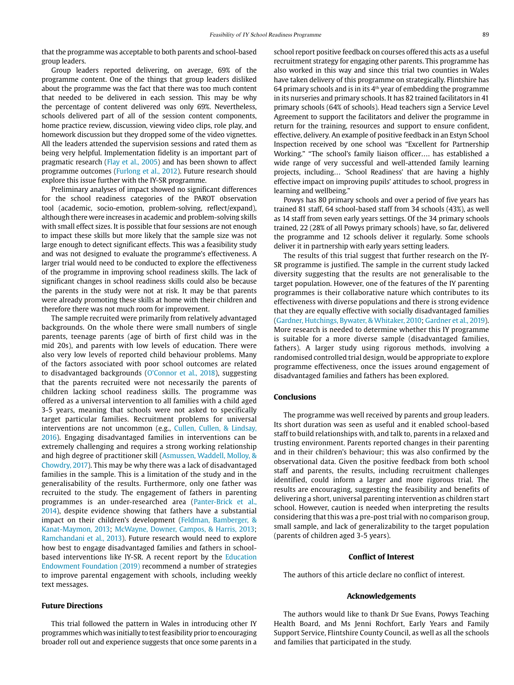that the programme was acceptable to both parents and school-based group leaders.

Group leaders reported delivering, on average, 69% of the programme content. One of the things that group leaders disliked about the programme was the fact that there was too much content that needed to be delivered in each session. This may be why the percentage of content delivered was only 69%. Nevertheless, schools delivered part of all of the session content components, home practice review, discussion, viewing video clips, role play, and homework discussion but they dropped some of the video vignettes. All the leaders attended the supervision sessions and rated them as being very helpful. Implementation fidelity is an important part of pragmatic research (Flay et al., 2005) and has been shown to affect programme outcomes (Furlong et al., 2012). Future research should explore this issue further with the IY-SR programme.

Preliminary analyses of impact showed no significant differences for the school readiness categories of the PAROT observation tool (academic, socio-emotion, problem-solving, reflect/expand), although there were increases in academic and problem-solving skills with small effect sizes. It is possible that four sessions are not enough to impact these skills but more likely that the sample size was not large enough to detect significant effects. This was a feasibility study and was not designed to evaluate the programme's effectiveness. A larger trial would need to be conducted to explore the effectiveness of the programme in improving school readiness skills. The lack of significant changes in school readiness skills could also be because the parents in the study were not at risk. It may be that parents were already promoting these skills at home with their children and therefore there was not much room for improvement.

The sample recruited were primarily from relatively advantaged backgrounds. On the whole there were small numbers of single parents, teenage parents (age of birth of first child was in the mid 20s), and parents with low levels of education. There were also very low levels of reported child behaviour problems. Many of the factors associated with poor school outcomes are related to disadvantaged backgrounds (O'Connor et al., 2018), suggesting that the parents recruited were not necessarily the parents of children lacking school readiness skills. The programme was offered as a universal intervention to all families with a child aged 3-5 years, meaning that schools were not asked to specifically target particular families. Recruitment problems for universal interventions are not uncommon (e.g., Cullen, Cullen, & Lindsay, 2016). Engaging disadvantaged families in interventions can be extremely challenging and requires a strong working relationship and high degree of practitioner skill (Asmussen, Waddell, Molloy, & Chowdry, 2017). This may be why there was a lack of disadvantaged families in the sample. This is a limitation of the study and in the generalisability of the results. Furthermore, only one father was recruited to the study. The engagement of fathers in parenting programmes is an under-researched area (Panter-Brick et al., 2014), despite evidence showing that fathers have a substantial impact on their children's development (Feldman, Bamberger, & Kanat-Maymon, 2013; McWayne, Downer, Campos, & Harris, 2013; Ramchandani et al., 2013). Future research would need to explore how best to engage disadvantaged families and fathers in schoolbased interventions like IY-SR. A recent report by the Education Endowment Foundation (2019) recommend a number of strategies to improve parental engagement with schools, including weekly text messages.

## **Future Directions**

This trial followed the pattern in Wales in introducing other IY programmes which was initially to test feasibility prior to encouraging broader roll out and experience suggests that once some parents in a school report positive feedback on courses offered this acts as a useful recruitment strategy for engaging other parents. This programme has also worked in this way and since this trial two counties in Wales have taken delivery of this programme on strategically. Flintshire has 64 primary schools and is in its  $4<sup>th</sup>$  year of embedding the programme in its nurseries and primary schools. It has 82 trained facilitators in 41 primary schools (64% of schools). Head teachers sign a Service Level Agreement to support the facilitators and deliver the programme in return for the training, resources and support to ensure confident, effective, delivery. An example of positive feedback in an Estyn School Inspection received by one school was "Excellent for Partnership Working." "The school's family liaison officer…. has established a wide range of very successful and well-attended family learning projects, including… 'School Readiness' that are having a highly effective impact on improving pupils' attitudes to school, progress in learning and wellbeing."

Powys has 80 primary schools and over a period of five years has trained 81 staff, 64 school-based staff from 34 schools (43%), as well as 14 staff from seven early years settings. Of the 34 primary schools trained, 22 (28% of all Powys primary schools) have, so far, delivered the programme and 12 schools deliver it regularly. Some schools deliver it in partnership with early years setting leaders.

The results of this trial suggest that further research on the IY-SR programme is justified. The sample in the current study lacked diversity suggesting that the results are not generalisable to the target population. However, one of the features of the IY parenting programmes is their collaborative nature which contributes to its effectiveness with diverse populations and there is strong evidence that they are equally effective with socially disadvantaged families (Gardner, Hutchings, Bywater, & Whitaker, 2010; Gardner et al., 2019). More research is needed to determine whether this IY programme is suitable for a more diverse sample (disadvantaged families, fathers). A larger study using rigorous methods, involving a randomised controlled trial design, would be appropriate to explore programme effectiveness, once the issues around engagement of disadvantaged families and fathers has been explored.

## **Conclusions**

The programme was well received by parents and group leaders. Its short duration was seen as useful and it enabled school-based staff to build relationships with, and talk to, parents in a relaxed and trusting environment. Parents reported changes in their parenting and in their children's behaviour; this was also confirmed by the observational data. Given the positive feedback from both school staff and parents, the results, including recruitment challenges identified, could inform a larger and more rigorous trial. The results are encouraging, suggesting the feasibility and benefits of delivering a short, universal parenting intervention as children start school. However, caution is needed when interpreting the results considering that this was a pre-post trial with no comparison group, small sample, and lack of generalizability to the target population (parents of children aged 3-5 years).

#### **Conflict of Interest**

The authors of this article declare no conflict of interest.

## **Acknowledgements**

The authors would like to thank Dr Sue Evans, Powys Teaching Health Board, and Ms Jenni Rochfort, Early Years and Family Support Service, Flintshire County Council, as well as all the schools and families that participated in the study.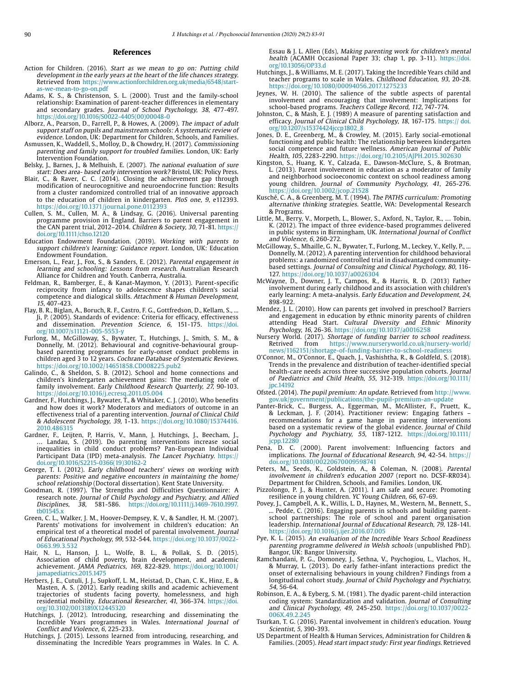#### **References**

- Action for Children. (2016). Start as we mean to go on: Putting child development in the early years at the heart of the life chances strategy. Retrieved from [https://www.actionforchildren.org.uk/media/6548/start](https://www.actionforchildren.org.uk/media/6548/start-as-we-mean-to-go-on.pdf)[as-we-mean-to-go-on.pdf](https://www.actionforchildren.org.uk/media/6548/start-as-we-mean-to-go-on.pdf)
- Adams, K. S., & Christenson, S. L. (2000). Trust and the family-school relationship: Examination of parent-teacher differences in elementary and secondary grades. Journal of School Psychology, 38, 477-497. [https://doi.org/10.1016/S0022-4405\(00\)00048-0](https://doi.org/10.1016/S0022-4405(00)00048-0)
- Alborz, A., Pearson, D., Farrell, P., & Howes, A. (2009). The impact of adult support staff on pupils and mainstream schools: A systematic review of evidence. London, UK: Department for Children, Schools, and Families.
- Asmussen, K., Waddell, S., Molloy, D., & Chowdry, H. (2017). Commissioning parenting and family support for troubled families. London, UK: Early Intervention Foundation.
- Belsky, J., Barnes, J., & Melhuish, E. (2007). The national evaluation of sure start: Does area- based early intervention work? Bristol, UK: Policy Press.
- Blair, C., & Raver, C. C. (2014). Closing the achievement gap through modification of neurocognitive and neuroendocrine function: Results from a cluster randomized controlled trial of an innovative approach to the education of children in kindergarten. PloS one, 9, e112393. https://doi.org/10.1371/journal.pone.0112393
- Cullen, S. M., Cullen, M. A., & Lindsay, G. (2016). Universal parenting programme provision in England. Barriers to parent engagement in the CAN parent trial, 2012–2014. Children & Society, 30, 71-81. [https://](https://doi.org/10.1111/chso.12120) [doi.org/10.1111/chso.12120](https://doi.org/10.1111/chso.12120)
- Education Endowment Foundation. (2019). Working with parents to support children's learning: Guidance report. London, UK: Education Endowment Foundation.
- Emerson, L., Fear, J., Fox, S., & Sanders, E. (2012). Parental engagement in learning and schooling: Lessons from research. Australian Research Alliance for Children and Youth. Canberra, Australia.
- Feldman, R., Bamberger, E., & Kanat-Maymon, Y. (2013). Parent-specific reciprocity from infancy to adolescence shapes children's social competence and dialogical skills. Attachment & Human Development, 15, 407-423.
- Flay, B. R., Biglan, A., Boruch, R. F., Castro, F. G., Gottfredson, D., Kellam, S., ... Ji, P. (2005). Standards of evidence: Criteria for efficacy, effectiveness and dissemination. Prevention Science, 6, 151-175. [https://doi.](https://doi.org/10.1007/s11121-005-5553-y) [org/10.1007/s11121-005-5553-y](https://doi.org/10.1007/s11121-005-5553-y)
- Furlong, M., McGilloway, S., Bywater, T., Hutchings, J., Smith, S. M., & Donnelly, M. (2012). Behavioural and cognitive-behavioural groupbased parenting programmes for early-onset conduct problems in children aged 3 to 12 years. Cochrane Database of Systematic Reviews. https://doi.org/10.1002/14651858.CD008225.pub2
- Galindo, C., & Sheldon, S. B. (2012). School and home connections and children's kindergarten achievement gains: The mediating role of family involvement. Early Childhood Research Quarterly, 27, 90-103. https://doi.org/10.1016/j.ecresq.2011.05.004
- Gardner, F., Hutchings, J., Bywater, T., & Whitaker, C. J. (2010). Who benefits and how does it work? Moderators and mediators of outcome in an effectiveness trial of a parenting intervention. Journal of Clinical Child & Adolescent Psychology, 39, 1-13. [https://doi.org/10.1080/15374416.](https://doi.org/10.1080/15374416.2010.486315) [2010.486315](https://doi.org/10.1080/15374416.2010.486315)
- Gardner, F., Leijten, P., Harris, V., Mann, J., Hutchings, J., Beecham, J. … Landau, S. (2019). Do parenting interventions increase social inequalities in child conduct problems? Pan-European Individual Participant Data (IPD) meta-analysis. The Lancet Psychiatry. [https://](https://doi.org/10.1016/S2215-0366(19)30162-2) [doi.org/10.1016/S2215-0366\(19\)30162-2](https://doi.org/10.1016/S2215-0366(19)30162-2)
- George, T. I. (2012). Early childhood teachers' views on working with parents: Positive and negative encounters in maintaining the home/ school relationship (Doctoral dissertation). Kent State University.
- Goodman, R. (1997). The Strengths and Difficulties Questionnaire: A research note. Journal of Child Psychology and Psychiatry, and Allied Disciplines, 38, 581-586. [https://doi.org/10.1111/j.1469-7610.1997.](https://doi.org/10.1111/j.1469-7610.1997.tb01545.x) [tb01545.x](https://doi.org/10.1111/j.1469-7610.1997.tb01545.x)
- Green, C. L., Walker, J. M., Hoover-Dempsey, K. V., & Sandler, H. M. (2007). Parents' motivations for involvement in children's education: An empirical test of a theoretical model of parental involvement. Journal of Educational Psychology, 99, 532-544. https://doi.org/10.1037/0022- 0663.99.3.532
- Hair, N. L., Hanson, J. L., Wolfe, B. L., & Pollak, S. D. (2015). Association of child poverty, brain development, and academic achievement. JAMA Pediatrics, 169, 822-829. [https://doi.org/10.1001/](https://doi.org/10.1001/jamapediatrics.2015.1475) [jamapediatrics.2015.1475](https://doi.org/10.1001/jamapediatrics.2015.1475)
- Herbers, J. E., Cutuli, J. J., Supkoff, L. M., Heistad, D., Chan, C. K., Hinz, E., & Masten, A. S. (2012). Early reading skills and academic achievement trajectories of students facing poverty, homelessness, and high residential mobility. *Educational Researcher, 41,* 366-374. <u>[https://doi.](https://doi.org/10.3102/0013189X12445320)</u> [org/10.3102/0013189X12445320](https://doi.org/10.3102/0013189X12445320)
- Hutchings, J. (2012). Introducing, researching and disseminating the Incredible Years programmes in Wales. International Journal of Conflict and Violence, 6, 225-233.
- Hutchings, J. (2015). Lessons learned from introducing, researching, and disseminating the Incredible Years programmes in Wales. In C. A.

Essau & J. L. Allen (Eds), Making parenting work for children's mental health (ACAMH Occasional Paper 33; chap 1, pp. 3-11). [https://doi.](https://doi.org/10.13056/OP33.d) [org/10.13056/OP33.d](https://doi.org/10.13056/OP33.d)

- Hutchings, J., & Williams, M. E. (2017). Taking the Incredible Years child and teacher programs to scale in Wales. Childhood Education, 93, 20-28. https://doi.org/10.1080/00094056.2017.1275233
- Jeynes, W. H. (2010). The salience of the subtle aspects of parental involvement and encouraging that involvement: Implications for school-based programs. Teachers College Record, 112, 747-774.
- Johnston, C., & Mash, E. J. (1989) A measure of parenting satisfaction and efficacy. Journal of Clinical Child Psychology, 18, 167-175. [https:// doi.](https:// doi.org/10.1207/s15374424jccp1802_8) [org/10.1207/s15374424jccp1802\\_8](https:// doi.org/10.1207/s15374424jccp1802_8)
- Jones, D. E., Greenberg, M., & Crowley, M. (2015). Early social-emotional functioning and public health: The relationship between kindergarten social competence and future wellness. American Journal of Public Health, 105, 2283-2290. https://doi.org/10.2105/AJPH.2015.302630
- Kingston, S., Huang, K. Y., Calzada, E., Dawson-McClure, S., & Brotman, L. (2013). Parent involvement in education as a moderator of family and neighborhood socioeconomic context on school readiness among young children. Journal of Community Psychology, 41, 265-276. https://doi.org/10.1002/jcop.21528
- Kusché, C. A., & Greenberg, M. T. (1994). The PATHS curriculum: Promoting alternative thinking strategies. Seattle, WA: Developmental Research & Programs.
- Little, M., Berry, V., Morpeth, L., Blower, S., Axford, N., Taylor, R., … Tobin, K. (2012). The impact of three evidence-based programmes delivered in public systems in Birmingham, UK. International Journal of Conflict and Violence, 6, 260-272.
- McGilloway, S., Mhaille, G. N., Bywater, T., Furlong, M., Leckey, Y., Kelly, P., . Donnelly, M. (2012). A parenting intervention for childhood behavioral problems: a randomized controlled trial in disadvantaged communitybased settings. Journal of Consulting and Clinical Psychology, 80, 116- 127. https://doi.org/10.1037/a0026304
- McWayne, D., Downer, J. T., Campos, R., & Harris, R. D. (2013) Father involvement during early childhood and its association with children's early learning: A meta-analysis. Early Education and Development, 24, 898-922.
- Mendez, J. L. (2010). How can parents get involved in preschool? Barriers and engagement in education by ethnic minority parents of children attending Head Start. Cultural Diversity and Ethnic Minority Psychology, 16, 26-36. https://doi.org/10.1037/a0016258
- Nursery World. (2017). Shortage of funding barrier to school readiness.<br>Retrived from https://www.nurseryworld.co.uk/nursery-world/ [https://www.nurseryworld.co.uk/nursery-world/](https://www.nurseryworld.co.uk/nursery-world/news/1162151/shortage-of-funding-barrier-to-school-readiness) [news/1162151/shortage-of-funding-barrier-to-school-readiness](https://www.nurseryworld.co.uk/nursery-world/news/1162151/shortage-of-funding-barrier-to-school-readiness)
- O'Connor, M., O'Connor, E., Quach, J., Vashishtha, R., & Goldfeld, S. (2018). Trends in the prevalence and distribution of teacher-identified special health-care needs across three successive population cohorts. Journal of Paediatrics and Child Health, 55, 312-319. [https://doi.org/10.1111/](https://doi.org/10.1111/jpc.14192) [jpc.14192](https://doi.org/10.1111/jpc.14192)
- Ofsted. (2014). The pupil premium: An update. Retrieved from [http://www.](http://www.gov.uk/government/publications/the-pupil-premium-an-update) [gov.uk/government/publications/the-pupil-premium-an-update](http://www.gov.uk/government/publications/the-pupil-premium-an-update)
- Panter-Brick, C., Burgess, A., Eggerman, M., McAllister, F., Pruett, K., & Leckman, J. F. (2014). Practitioner review: Engaging fathers – recommendations for a game hange in parenting interventions based on a systematic review of the global evidence. Journal of Child Psychology and Psychiatry, 55, 1187-1212. [https://doi.org/10.1111/](https://doi.org/10.1111/jcpp.12280) [jcpp.12280](https://doi.org/10.1111/jcpp.12280)
- Pena, D. C. (2000). Parent involvement: Influencing factors and implications. The Journal of Educational Research, 94, 42-54. https:// doi.org/10.1080/00220670009598741
- Peters, M., Seeds, K., Goldstein, A., & Coleman, N. (2008). Parental involvement in children's education 2007 (report no. DCSF-RR034). Department for Children, Schools, and Families. London, UK.
- Pizzolongo, P. J., & Hunter, A. (2011). I am safe and secure: Promoting resilience in young children. YC Young Children, 66, 67-69.
- Povey, J., Campbell, A. K., Willis, L. D., Haynes, M., Western, M., Bennett, S., ... Pedde, C. (2016). Engaging parents in schools and building parentschool partnerships: The role of school and parent organisation leadership. International Journal of Educational Research, 79, 128-141. https://doi.org/10.1016/j.ijer.2016.07.005
- Pye, K. L. (2015). An evaluation of the Incredible Years School Readiness parenting programme delivered in Welsh schools (unpublished PhD). Bangor, UK: Bangor University.
- Ramchandani, P. G., Domoney, J., Sethna, V., Psychogiou, L., Vlachos, H., & Murray, L. (2013). Do early father-infant interactions predict the onset of externalising behaviours in young children? Findings from a longitudinal cohort study. Journal of Child Psychology and Psychiatry, 54, 56-64.
- Robinson, E. A., & Eyberg, S. M. (1981). The dyadic parent-child interaction coding system: Standardization and validation. Journal of Consulting and Clinical Psychology, 49, 245-250. https://doi.org/10.1037/0022- 006X 49.2.245
- Tsurkan, T. G. (2016). Parental involvement in children's education. Young Scientist, 5, 390-393.
- US Department of Health & Human Services, Administration for Children & Families. (2005). Head start impact study: First year findings. Retrieved